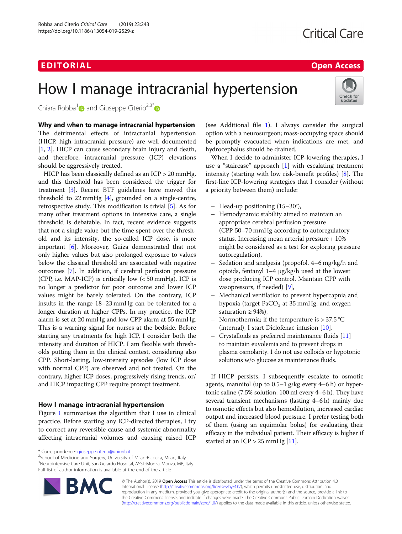## EDI TORIA L Open Access

Check for updates

# How I manage intracranial hypertension

Chiara Robba<sup>[1](http://orcid.org/0000-0003-1628-3845)</sup> and Giuseppe Citerio<sup>2,3\*</sup>

Why and when to manage intracranial hypertension The detrimental effects of intracranial hypertension (HICP, high intracranial pressure) are well documented [[1,](#page-2-0) [2](#page-2-0)]. HICP can cause secondary brain injury and death, and therefore, intracranial pressure (ICP) elevations should be aggressively treated.

HICP has been classically defined as an ICP > 20 mmHg, and this threshold has been considered the trigger for treatment [\[3](#page-2-0)]. Recent BTF guidelines have moved this threshold to 22 mmHg [[4\]](#page-2-0), grounded on a single-centre, retrospective study. This modification is trivial [[5\]](#page-2-0). As for many other treatment options in intensive care, a single threshold is debatable. In fact, recent evidence suggests that not a single value but the time spent over the threshold and its intensity, the so-called ICP dose, is more important [\[6](#page-2-0)]. Moreover, Guiza demonstrated that not only higher values but also prolonged exposure to values below the classical threshold are associated with negative outcomes [[7\]](#page-2-0). In addition, if cerebral perfusion pressure (CPP, i.e. MAP-ICP) is critically low (< 50 mmHg), ICP is no longer a predictor for poor outcome and lower ICP values might be barely tolerated. On the contrary, ICP insults in the range 18–23 mmHg can be tolerated for a longer duration at higher CPPs. In my practice, the ICP alarm is set at 20 mmHg and low CPP alarm at 55 mmHg. This is a warning signal for nurses at the bedside. Before starting any treatments for high ICP, I consider both the intensity and duration of HICP. I am flexible with thresholds putting them in the clinical contest, considering also CPP. Short-lasting, low-intensity episodes (low ICP dose with normal CPP) are observed and not treated. On the contrary, higher ICP doses, progressively rising trends, or/ and HICP impacting CPP require prompt treatment.

### How I manage intracranial hypertension

Figure [1](#page-1-0) summarises the algorithm that I use in clinical practice. Before starting any ICP-directed therapies, I try to correct any reversible cause and systemic abnormality affecting intracranial volumes and causing raised ICP

<sup>2</sup>School of Medicine and Surgery, University of Milan-Bicocca, Milan, Italy 3 Neurointensive Care Unit, San Gerardo Hospital, ASST-Monza, Monza, MB, Italy Full list of author information is available at the end of the article



(see Additional file [1](#page-2-0)). I always consider the surgical option with a neurosurgeon; mass-occupying space should be promptly evacuated when indications are met, and hydrocephalus should be drained.

When I decide to administer ICP-lowering therapies, I use a "staircase" approach [\[1\]](#page-2-0) with escalating treatment intensity (starting with low risk-benefit profiles) [[8\]](#page-2-0). The first-line ICP-lowering strategies that I consider (without a priority between them) include:

- Head-up positioning (15–30°),
- Hemodynamic stability aimed to maintain an appropriate cerebral perfusion pressure (CPP 50–70 mmHg according to autoregulatory status. Increasing mean arterial pressure + 10% might be considered as a test for exploring pressure autoregulation),
- Sedation and analgesia (propofol, 4–6 mg/kg/h and opioids, fentanyl 1–4 μg/kg/h used at the lowest dose producing ICP control. Maintain CPP with vasopressors, if needed) [\[9](#page-2-0)],
- Mechanical ventilation to prevent hypercapnia and hypoxia (target  $PaCO<sub>2</sub>$  at 35 mmHg, and oxygen saturation  $\geq 94\%$ ),
- Normothermia; if the temperature is  $> 37.5$  °C (internal), I start Diclofenac infusion [[10](#page-2-0)].
- Crystalloids as preferred maintenance fluids [\[11](#page-2-0)] to maintain euvolemia and to prevent drops in plasma osmolarity. I do not use colloids or hypotonic solutions w/o glucose as maintenance fluids.

If HICP persists, I subsequently escalate to osmotic agents, mannitol (up to 0.5–1 g/kg every 4–6 h) or hypertonic saline (7.5% solution, 100 ml every 4–6 h). They have several transient mechanisms (lasting 4–6 h) mainly due to osmotic effects but also hemodilution, increased cardiac output and increased blood pressure. I prefer testing both of them (using an equimolar bolus) for evaluating their efficacy in the individual patient. Their efficacy is higher if started at an ICP > 25 mmHg [\[11](#page-2-0)].

© The Author(s). 2019 Open Access This article is distributed under the terms of the Creative Commons Attribution 4.0 International License [\(http://creativecommons.org/licenses/by/4.0/](http://creativecommons.org/licenses/by/4.0/)), which permits unrestricted use, distribution, and reproduction in any medium, provided you give appropriate credit to the original author(s) and the source, provide a link to the Creative Commons license, and indicate if changes were made. The Creative Commons Public Domain Dedication waiver [\(http://creativecommons.org/publicdomain/zero/1.0/](http://creativecommons.org/publicdomain/zero/1.0/)) applies to the data made available in this article, unless otherwise stated.

<sup>\*</sup> Correspondence: [giuseppe.citerio@unimib.it](mailto:giuseppe.citerio@unimib.it) <sup>2</sup>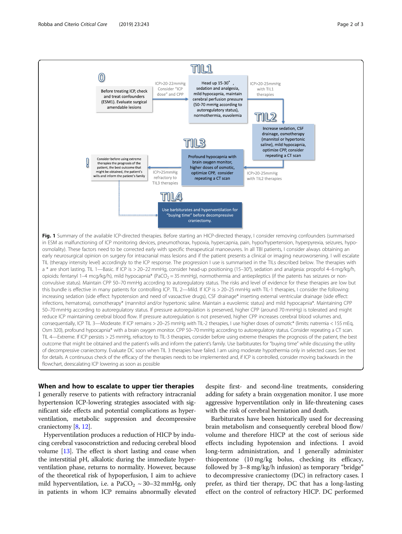<span id="page-1-0"></span>

#### When and how to escalate to upper tier therapies

I generally reserve to patients with refractory intracranial hypertension ICP-lowering strategies associated with significant side effects and potential complications as hyperventilation, metabolic suppression and decompressive craniectomy [[8](#page-2-0), [12\]](#page-2-0).

Hyperventilation produces a reduction of HICP by inducing cerebral vasoconstriction and reducing cerebral blood volume [[13](#page-2-0)]. The effect is short lasting and cease when the interstitial pH, alkalotic during the immediate hyperventilation phase, returns to normality. However, because of the theoretical risk of hypoperfusion, I aim to achieve mild hyperventilation, i.e. a  $PaCO<sub>2</sub> \sim 30-32$  mmHg, only in patients in whom ICP remains abnormally elevated

despite first- and second-line treatments, considering adding for safety a brain oxygenation monitor. I use more aggressive hyperventilation only in life-threatening cases with the risk of cerebral herniation and death.

Barbiturates have been historically used for decreasing brain metabolism and consequently cerebral blood flow/ volume and therefore HICP at the cost of serious side effects including hypotension and infections. I avoid long-term administration, and I generally administer thiopentone (10 mg/kg bolus, checking its efficacy, followed by 3–8 mg/kg/h infusion) as temporary "bridge" to decompressive craniectomy (DC) in refractory cases. I prefer, as third tier therapy, DC that has a long-lasting effect on the control of refractory HICP. DC performed